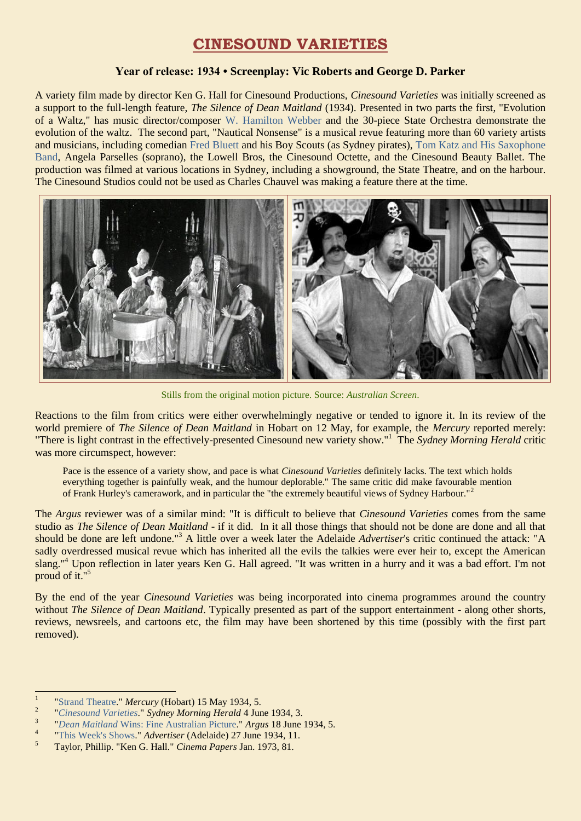## **CINESOUND VARIETIES**

## **Year of release: 1934 • Screenplay: Vic Roberts and George D. Parker**

A variety film made by director Ken G. Hall for Cinesound Productions, *Cinesound Varieties* was initially screened as a support to the full-length feature, *The Silence of Dean Maitland* (1934). Presented in two parts the first, "Evolution of a Waltz," has music director/composer [W. Hamilton Webber](http://ozvta.com/music-directors-composers-variety/) and the 30-piece State Orchestra demonstrate the evolution of the waltz. The second part, "Nautical Nonsense" is a musical revue featuring more than 60 variety artists and musicians, including comedian [Fred Bluett](http://ozvta.com/practitioners-b/) and his Boy Scouts (as Sydney pirates), [Tom Katz and His Saxophone](https://ozvta.com/practitioners-t/)  [Band,](https://ozvta.com/practitioners-t/) Angela Parselles (soprano), the Lowell Bros, the Cinesound Octette, and the Cinesound Beauty Ballet. The production was filmed at various locations in Sydney, including a showground, the State Theatre, and on the harbour. The Cinesound Studios could not be used as Charles Chauvel was making a feature there at the time.



Stills from the original motion picture. Source: *Australian Screen*.

Reactions to the film from critics were either overwhelmingly negative or tended to ignore it. In its review of the world premiere of *The Silence of Dean Maitland* in Hobart on 12 May, for example, the *Mercury* reported merely: "There is light contrast in the effectively-presented Cinesound new variety show."<sup>1</sup> The *Sydney Morning Herald* critic was more circumspect, however:

Pace is the essence of a variety show, and pace is what *Cinesound Varieties* definitely lacks. The text which holds everything together is painfully weak, and the humour deplorable." The same critic did make favourable mention of Frank Hurley's camerawork, and in particular the "the extremely beautiful views of Sydney Harbour."<sup>2</sup>

The *Argus* reviewer was of a similar mind: "It is difficult to believe that *Cinesound Varieties* comes from the same studio as *The Silence of Dean Maitland* - if it did. In it all those things that should not be done are done and all that should be done are left undone."<sup>3</sup> A little over a week later the Adelaide *Advertiser*'s critic continued the attack: "A sadly overdressed musical revue which has inherited all the evils the talkies were ever heir to, except the American slang."<sup>4</sup> Upon reflection in later years Ken G. Hall agreed. "It was written in a hurry and it was a bad effort. I'm not proud of it."<sup>5</sup>

By the end of the year *Cinesound Varieties* was being incorporated into cinema programmes around the country without *The Silence of Dean Maitland*. Typically presented as part of the support entertainment - along other shorts, reviews, newsreels, and cartoons etc, the film may have been shortened by this time (possibly with the first part removed).

<sup>|&</sup>lt;br>|<br>| ["Strand Theatre.](http://trove.nla.gov.au/ndp/del/article/24933329)" *Mercury* (Hobart) 15 May 1934, 5.

<sup>2</sup> "*[Cinesound Varieties](http://trove.nla.gov.au/ndp/del/article/17058723)*." *Sydney Morning Herald* 4 June 1934, 3.

<sup>3</sup> "*Dean Maitland* [Wins: Fine Australian Picture."](http://trove.nla.gov.au/ndp/del/article/10947770) *Argus* 18 June 1934, 5.

<sup>4</sup> ["This Week's Shows."](http://trove.nla.gov.au/ndp/del/page/7294391) *Advertiser* (Adelaide) 27 June 1934, 11.

<sup>5</sup> Taylor, Phillip. "Ken G. Hall." *Cinema Papers* Jan. 1973, 81.